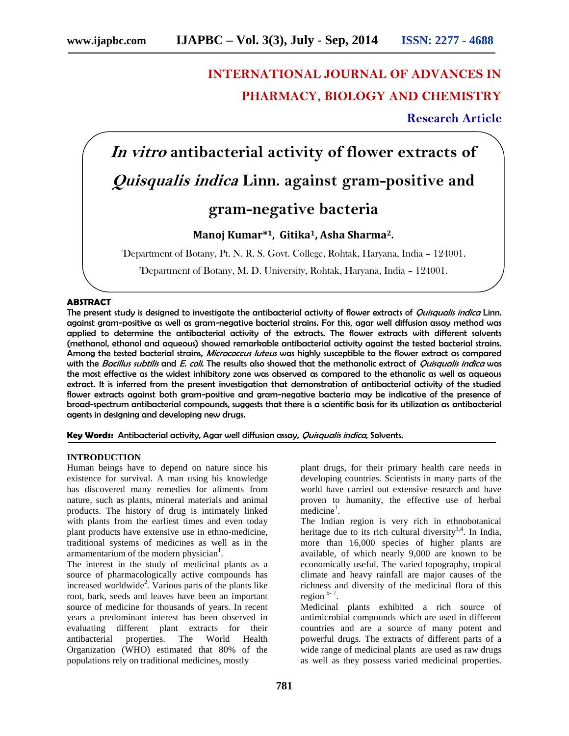# **INTERNATIONAL JOURNAL OF ADVANCES IN PHARMACY, BIOLOGY AND CHEMISTRY**

## **Research Article**

*In vitro* **antibacterial activity of flower extracts of** *Quisqualis indica* **Linn. against gram-positive and**

# **gram-negative bacteria**

### **Manoj Kumar\*1, Gitika1, Asha Sharma2.**

<sup>1</sup>Department of Botany, Pt. N. R. S. Govt. College, Rohtak, Haryana, India – 124001.

<sup>2</sup>Department of Botany, M. D. University, Rohtak, Haryana, India – 124001.

#### **ABSTRACT**

The present study is designed to investigate the antibacterial activity of flower extracts of *Quisqualis indica* Linn. against gram-positive as well as gram-negative bacterial strains. For this, agar well diffusion assay method was applied to determine the antibacterial activity of the extracts. The flower extracts with different solvents (methanol, ethanol and aqueous) showed remarkable antibacterial activity against the tested bacterial strains. Among the tested bacterial strains, *Micrococcus luteus* was highly susceptible to the flower extract as compared with the *Bacillus subtilis* and *E. coli.* The results also showed that the methanolic extract of *Quisqualis indica* was the most effective as the widest inhibitory zone was observed as compared to the ethanolic as well as aqueous extract. It is inferred from the present investigation that demonstration of antibacterial activity of the studied flower extracts against both gram-positive and gram-negative bacteria may be indicative of the presence of broad-spectrum antibacterial compounds, suggests that there is a scientific basis for its utilization as antibacterial agents in designing and developing new drugs.

**Key Words:** Antibacterial activity, Agar well diffusion assay, *Quisqualis indica*, Solvents.

#### **INTRODUCTION**

Human beings have to depend on nature since his existence for survival. A man using his knowledge has discovered many remedies for aliments from nature, such as plants, mineral materials and animal products. The history of drug is intimately linked with plants from the earliest times and even today plant products have extensive use in ethno-medicine, traditional systems of medicines as well as in the armamentarium of the modern physician $<sup>1</sup>$ .</sup>

The interest in the study of medicinal plants as a source of pharmacologically active compounds has increased worldwide<sup>2</sup>. Various parts of the plants like root, bark, seeds and leaves have been an important source of medicine for thousands of years. In recent years a predominant interest has been observed in evaluating different plant extracts for their antibacterial properties. The World Health Organization (WHO) estimated that 80% of the populations rely on traditional medicines, mostly

plant drugs, for their primary health care needs in developing countries. Scientists in many parts of the world have carried out extensive research and have proven to humanity, the effective use of herbal  $\text{mediate}^1$ .

The Indian region is very rich in ethnobotanical heritage due to its rich cultural diversity $3,4$ . In India, more than 16,000 species of higher plants are available, of which nearly 9,000 are known to be economically useful. The varied topography, tropical climate and heavy rainfall are major causes of the richness and diversity of the medicinal flora of this region  $5-7$ .

Medicinal plants exhibited a rich source of antimicrobial compounds which are used in different countries and are a source of many potent and powerful drugs. The extracts of different parts of a wide range of medicinal plants are used as raw drugs as well as they possess varied medicinal properties.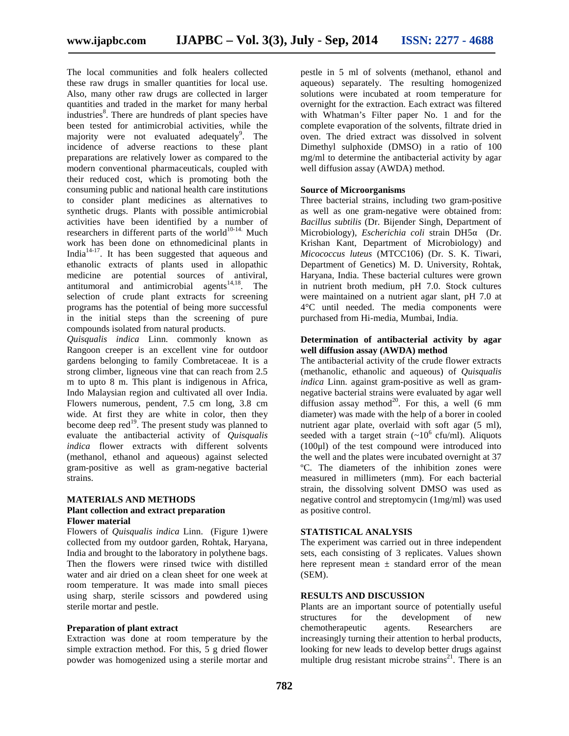The local communities and folk healers collected these raw drugs in smaller quantities for local use. Also, many other raw drugs are collected in larger quantities and traded in the market for many herbal industries<sup>8</sup>. There are hundreds of plant species have been tested for antimicrobial activities, while the majority were not evaluated adequately<sup>9</sup>. The incidence of adverse reactions to these plant preparations are relatively lower as compared to the modern conventional pharmaceuticals, coupled with their reduced cost, which is promoting both the consuming public and national health care institutions to consider plant medicines as alternatives to synthetic drugs. Plants with possible antimicrobial activities have been identified by a number of researchers in different parts of the world $10^{-14}$ . Much work has been done on ethnomedicinal plants in India<sup>14-17</sup>. It has been suggested that aqueous and ethanolic extracts of plants used in allopathic medicine are potential sources of antiviral, antitumoral and antimicrobial agents<sup>14,18</sup>. The selection of crude plant extracts for screening programs has the potential of being more successful in the initial steps than the screening of pure compounds isolated from natural products.

*Quisqualis indica* Linn. commonly known as Rangoon creeper is an excellent vine for outdoor gardens belonging to family Combretaceae. It is a strong climber, ligneous vine that can reach from 2.5 m to upto 8 m. This plant is indigenous in Africa, Indo Malaysian region and cultivated all over India. Flowers numerous, pendent, 7.5 cm long, 3.8 cm wide. At first they are white in color, then they become deep  $\text{red}^{19}$ . The present study was planned to evaluate the antibacterial activity of *Quisqualis indica* flower extracts with different solvents (methanol, ethanol and aqueous) against selected gram-positive as well as gram-negative bacterial strains.

#### **MATERIALS AND METHODS Plant collection and extract preparation Flower material**

Flowers of *Quisqualis indica* Linn. (Figure 1)were collected from my outdoor garden, Rohtak, Haryana, India and brought to the laboratory in polythene bags. Then the flowers were rinsed twice with distilled water and air dried on a clean sheet for one week at room temperature. It was made into small pieces using sharp, sterile scissors and powdered using sterile mortar and pestle.

#### **Preparation of plant extract**

Extraction was done at room temperature by the simple extraction method. For this, 5 g dried flower powder was homogenized using a sterile mortar and

pestle in 5 ml of solvents (methanol, ethanol and aqueous) separately. The resulting homogenized solutions were incubated at room temperature for overnight for the extraction. Each extract was filtered with Whatman's Filter paper No. 1 and for the complete evaporation of the solvents, filtrate dried in oven. The dried extract was dissolved in solvent Dimethyl sulphoxide (DMSO) in a ratio of 100 mg/ml to determine the antibacterial activity by agar well diffusion assay (AWDA) method.

#### **Source of Microorganisms**

Three bacterial strains, including two gram-positive as well as one gram-negative were obtained from: *Bacillus subtilis* (Dr. Bijender Singh, Department of Microbiology), *Escherichia coli* strain DH5 (Dr. Krishan Kant, Department of Microbiology) and *Micococcus luteus* (MTCC106) (Dr. S. K. Tiwari, Department of Genetics) M. D. University, Rohtak, Haryana, India. These bacterial cultures were grown in nutrient broth medium, pH 7.0. Stock cultures were maintained on a nutrient agar slant, pH 7.0 at 4°C until needed. The media components were purchased from Hi-media, Mumbai, India.

#### **Determination of antibacterial activity by agar well diffusion assay (AWDA) method**

The antibacterial activity of the crude flower extracts (methanolic, ethanolic and aqueous) of *Quisqualis indica* Linn. against gram-positive as well as gram negative bacterial strains were evaluated by agar well diffusion assay method<sup>20</sup>. For this, a well (6 mm diameter) was made with the help of a borer in cooled nutrient agar plate, overlaid with soft agar (5 ml), seeded with a target strain  $({\sim}10^6 \text{ cftt/ml})$ . Aliquots (100μl) of the test compound were introduced into the well and the plates were incubated overnight at 37 ºC. The diameters of the inhibition zones were measured in millimeters (mm). For each bacterial strain, the dissolving solvent DMSO was used as negative control and streptomycin (1mg/ml) was used as positive control.

#### **STATISTICAL ANALYSIS**

The experiment was carried out in three independent sets, each consisting of 3 replicates. Values shown here represent mean  $\pm$  standard error of the mean (SEM).

#### **RESULTS AND DISCUSSION**

Plants are an important source of potentially useful structures for the development of new chemotherapeutic agents. Researchers are increasingly turning their attention to herbal products, looking for new leads to develop better drugs against multiple drug resistant microbe strains<sup>21</sup>. There is an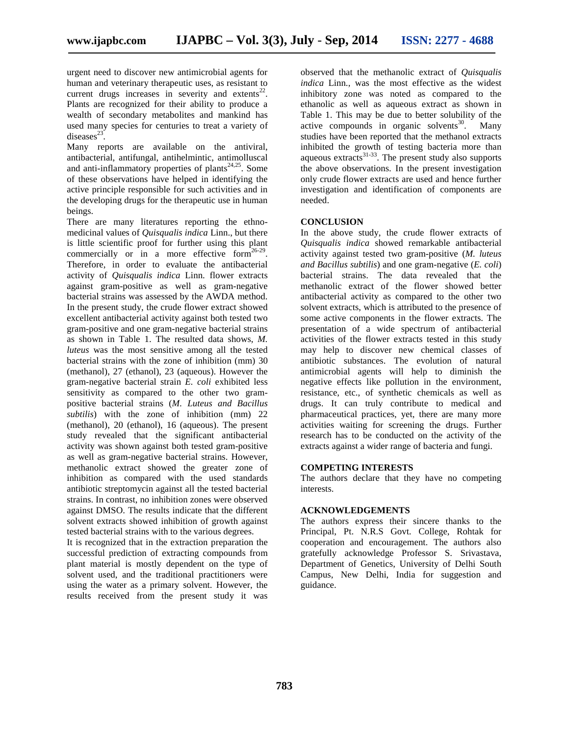urgent need to discover new antimicrobial agents for human and veterinary therapeutic uses, as resistant to current drugs increases in severity and extents<sup>22</sup>. Plants are recognized for their ability to produce a wealth of secondary metabolites and mankind has used many species for centuries to treat a variety of diseases $^{23}$ .

Many reports are available on the antiviral, antibacterial, antifungal, antihelmintic, antimolluscal and anti-inflammatory properties of plants<sup>24,25</sup>. Some of these observations have helped in identifying the active principle responsible for such activities and in the developing drugs for the therapeutic use in human beings.

There are many literatures reporting the ethno medicinal values of *Quisqualis indica* Linn., but there is little scientific proof for further using this plant commercially or in a more effective form $26-29$ . Therefore, in order to evaluate the antibacterial activity of *Quisqualis indica* Linn. flower extracts against gram-positive as well as gram-negative bacterial strains was assessed by the AWDA method. In the present study, the crude flower extract showed excellent antibacterial activity against both tested two gram-positive and one gram-negative bacterial strains as shown in Table 1. The resulted data shows, *M. luteus* was the most sensitive among all the tested bacterial strains with the zone of inhibition (mm) 30 (methanol), 27 (ethanol), 23 (aqueous). However the gram-negative bacterial strain *E. coli* exhibited less sensitivity as compared to the other two gram positive bacterial strains (*M. Luteus and Bacillus subtilis*) with the zone of inhibition (mm) 22 (methanol), 20 (ethanol), 16 (aqueous). The present study revealed that the significant antibacterial activity was shown against both tested gram-positive as well as gram-negative bacterial strains. However, methanolic extract showed the greater zone of inhibition as compared with the used standards antibiotic streptomycin against all the tested bacterial strains. In contrast, no inhibition zones were observed against DMSO. The results indicate that the different solvent extracts showed inhibition of growth against tested bacterial strains with to the various degrees.

It is recognized that in the extraction preparation the successful prediction of extracting compounds from plant material is mostly dependent on the type of solvent used, and the traditional practitioners were using the water as a primary solvent. However, the results received from the present study it was

observed that the methanolic extract of *Quisqualis indica* Linn., was the most effective as the widest inhibitory zone was noted as compared to the ethanolic as well as aqueous extract as shown in Table 1. This may be due to better solubility of the active compounds in organic solvents<sup>30</sup>. Many studies have been reported that the methanol extracts inhibited the growth of testing bacteria more than and the storm of results advertise interest and aqueous extracts<sup>31-33</sup>. The present study also supports the above observations. In the present investigation only crude flower extracts are used and hence further investigation and identification of components are needed.

#### **CONCLUSION**

In the above study, the crude flower extracts of *Quisqualis indica* showed remarkable antibacterial activity against tested two gram-positive (*M. luteus and Bacillus subtilis*) and one gram-negative (*E. coli*) bacterial strains. The data revealed that the methanolic extract of the flower showed better antibacterial activity as compared to the other two solvent extracts, which is attributed to the presence of some active components in the flower extracts. The presentation of a wide spectrum of antibacterial activities of the flower extracts tested in this study may help to discover new chemical classes of antibiotic substances. The evolution of natural antimicrobial agents will help to diminish the negative effects like pollution in the environment, resistance, etc., of synthetic chemicals as well as drugs. It can truly contribute to medical and pharmaceutical practices, yet, there are many more activities waiting for screening the drugs. Further research has to be conducted on the activity of the extracts against a wider range of bacteria and fungi.

#### **COMPETING INTERESTS**

The authors declare that they have no competing interests.

#### **ACKNOWLEDGEMENTS**

The authors express their sincere thanks to the Principal, Pt. N.R.S Govt. College, Rohtak for cooperation and encouragement. The authors also gratefully acknowledge Professor S. Srivastava, Department of Genetics, University of Delhi South Campus, New Delhi, India for suggestion and guidance.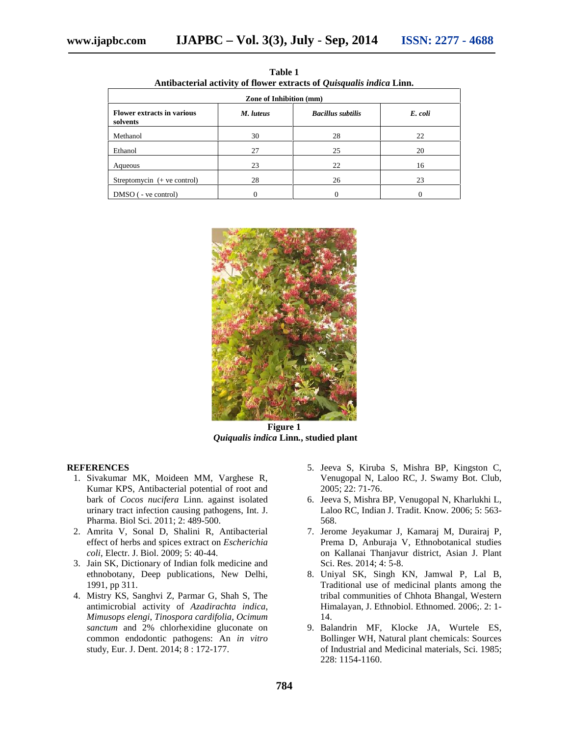| Antibacterial activity of hower extracts of <i>Quisqualis mated</i> Ellin. |           |                          |         |
|----------------------------------------------------------------------------|-----------|--------------------------|---------|
| <b>Zone of Inhibition (mm)</b>                                             |           |                          |         |
| <b>Flower extracts in various</b><br>solvents                              | M. luteus | <b>Bacillus subtilis</b> | E. coli |
| Methanol                                                                   | 30        | 28                       | 22      |
| Ethanol                                                                    | 27        | 25                       | 20      |
| Aqueous                                                                    | 23        | 22                       | 16      |
| Streptomycin $(+$ ve control)                                              | 28        | 26                       | 23      |
| $DMSO$ ( - ve control)                                                     | 0         | 0                        | 0       |

**Table 1 Antibacterial activity of flower extracts of** *Quisqualis indica* **Linn.**



**Figure 1** *Quiqualis indica* **Linn***.***, studied plant**

#### **REFERENCES**

- 1. Sivakumar MK, Moideen MM, Varghese R, Kumar KPS, Antibacterial potential of root and bark of *Cocos nucifera* Linn. against isolated urinary tract infection causing pathogens, Int. J. Pharma. Biol Sci. 2011; 2: 489-500.
- 2. Amrita V, Sonal D, Shalini R, Antibacterial effect of herbs and spices extract on *Escherichia coli*, Electr. J. Biol. 2009; 5: 40-44.
- 3. Jain SK, Dictionary of Indian folk medicine and ethnobotany, Deep publications, New Delhi, 1991, pp 311.
- 4. Mistry KS, Sanghvi Z, Parmar G, Shah S, The antimicrobial activity of *Azadirachta indica*, *Mimusops elengi*, *Tinospora cardifolia*, *Ocimum sanctum* and 2% chlorhexidine gluconate on common endodontic pathogens: An *in vitro* study, Eur. J. Dent. 2014; 8 : 172-177.
- 5. Jeeva S, Kiruba S, Mishra BP, Kingston C, Venugopal N, Laloo RC, J. Swamy Bot. Club, 2005; 22: 71-76.
- 6. Jeeva S, Mishra BP, Venugopal N, Kharlukhi L, Laloo RC, Indian J. Tradit. Know. 2006; 5: 563- 568.
- 7. Jerome Jeyakumar J, Kamaraj M, Durairaj P, Prema D, Anburaja V, Ethnobotanical studies on Kallanai Thanjavur district, Asian J. Plant Sci. Res. 2014; 4: 5-8.
- 8. Uniyal SK, Singh KN, Jamwal P, Lal B, Traditional use of medicinal plants among the tribal communities of Chhota Bhangal, Western Himalayan, J. Ethnobiol. Ethnomed. 2006;. 2: 1- 14.
- 9. Balandrin MF, Klocke JA, Wurtele ES, Bollinger WH, Natural plant chemicals: Sources of Industrial and Medicinal materials, Sci. 1985; 228: 1154-1160.